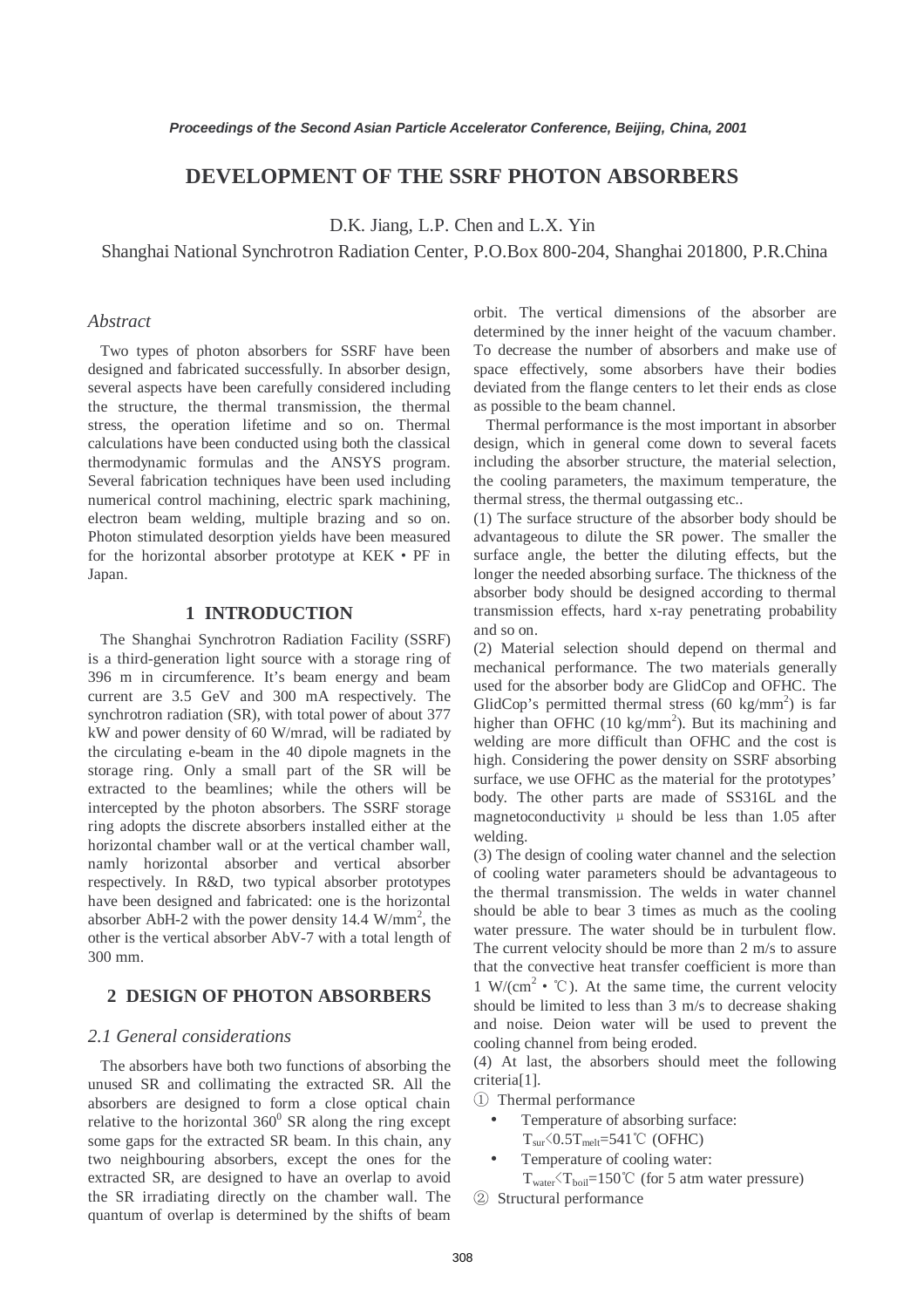# **DEVELOPMENT OF THE SSRF PHOTON ABSORBERS**

D.K. Jiang, L.P. Chen and L.X. Yin

Shanghai National Synchrotron Radiation Center, P.O.Box 800-204, Shanghai 201800, P.R.China

# *Abstract*

 Two types of photon absorbers for SSRF have been designed and fabricated successfully. In absorber design, several aspects have been carefully considered including the structure, the thermal transmission, the thermal stress, the operation lifetime and so on. Thermal calculations have been conducted using both the classical thermodynamic formulas and the ANSYS program. Several fabrication techniques have been used including numerical control machining, electric spark machining, electron beam welding, multiple brazing and so on. Photon stimulated desorption yields have been measured for the horizontal absorber prototype at KEK • PF in Japan.

#### **1 INTRODUCTION**

 The Shanghai Synchrotron Radiation Facility (SSRF) is a third-generation light source with a storage ring of 396 m in circumference. It's beam energy and beam current are 3.5 GeV and 300 mA respectively. The synchrotron radiation (SR), with total power of about 377 kW and power density of 60 W/mrad, will be radiated by the circulating e-beam in the 40 dipole magnets in the storage ring. Only a small part of the SR will be extracted to the beamlines; while the others will be intercepted by the photon absorbers. The SSRF storage ring adopts the discrete absorbers installed either at the horizontal chamber wall or at the vertical chamber wall, namly horizontal absorber and vertical absorber respectively. In R&D, two typical absorber prototypes have been designed and fabricated: one is the horizontal absorber AbH-2 with the power density  $14.4 \text{ W/mm}^2$ , the other is the vertical absorber AbV-7 with a total length of 300 mm.

#### **2 DESIGN OF PHOTON ABSORBERS**

## *2.1 General considerations*

 The absorbers have both two functions of absorbing the unused SR and collimating the extracted SR. All the absorbers are designed to form a close optical chain relative to the horizontal  $360^{\circ}$  SR along the ring except some gaps for the extracted SR beam. In this chain, any two neighbouring absorbers, except the ones for the extracted SR, are designed to have an overlap to avoid the SR irradiating directly on the chamber wall. The quantum of overlap is determined by the shifts of beam

orbit. The vertical dimensions of the absorber are determined by the inner height of the vacuum chamber. To decrease the number of absorbers and make use of space effectively, some absorbers have their bodies deviated from the flange centers to let their ends as close as possible to the beam channel.

 Thermal performance is the most important in absorber design, which in general come down to several facets including the absorber structure, the material selection, the cooling parameters, the maximum temperature, the thermal stress, the thermal outgassing etc..

(1) The surface structure of the absorber body should be advantageous to dilute the SR power. The smaller the surface angle, the better the diluting effects, but the longer the needed absorbing surface. The thickness of the absorber body should be designed according to thermal transmission effects, hard x-ray penetrating probability and so on.

(2) Material selection should depend on thermal and mechanical performance. The two materials generally used for the absorber body are GlidCop and OFHC. The GlidCop's permitted thermal stress  $(60 \text{ kg/mm}^2)$  is far higher than OFHC  $(10 \text{ kg/mm}^2)$ . But its machining and welding are more difficult than OFHC and the cost is high. Considering the power density on SSRF absorbing surface, we use OFHC as the material for the prototypes' body. The other parts are made of SS316L and the magnetoconductivity  $\mu$  should be less than 1.05 after welding.

(3) The design of cooling water channel and the selection of cooling water parameters should be advantageous to the thermal transmission. The welds in water channel should be able to bear 3 times as much as the cooling water pressure. The water should be in turbulent flow. The current velocity should be more than 2 m/s to assure that the convective heat transfer coefficient is more than 1 W/(cm<sup>2</sup>  $\cdot$  °C). At the same time, the current velocity should be limited to less than 3 m/s to decrease shaking and noise. Deion water will be used to prevent the cooling channel from being eroded.

(4) At last, the absorbers should meet the following criteria[1].

① Thermal performance

- Temperature of absorbing surface:  $T_{\text{sur}}$  $\leq 0.5T_{\text{melt}} = 541 \degree C$  (OFHC)
- Temperature of cooling water:  $T_{water}$  $T_{boil}$ =150°C (for 5 atm water pressure)

② Structural performance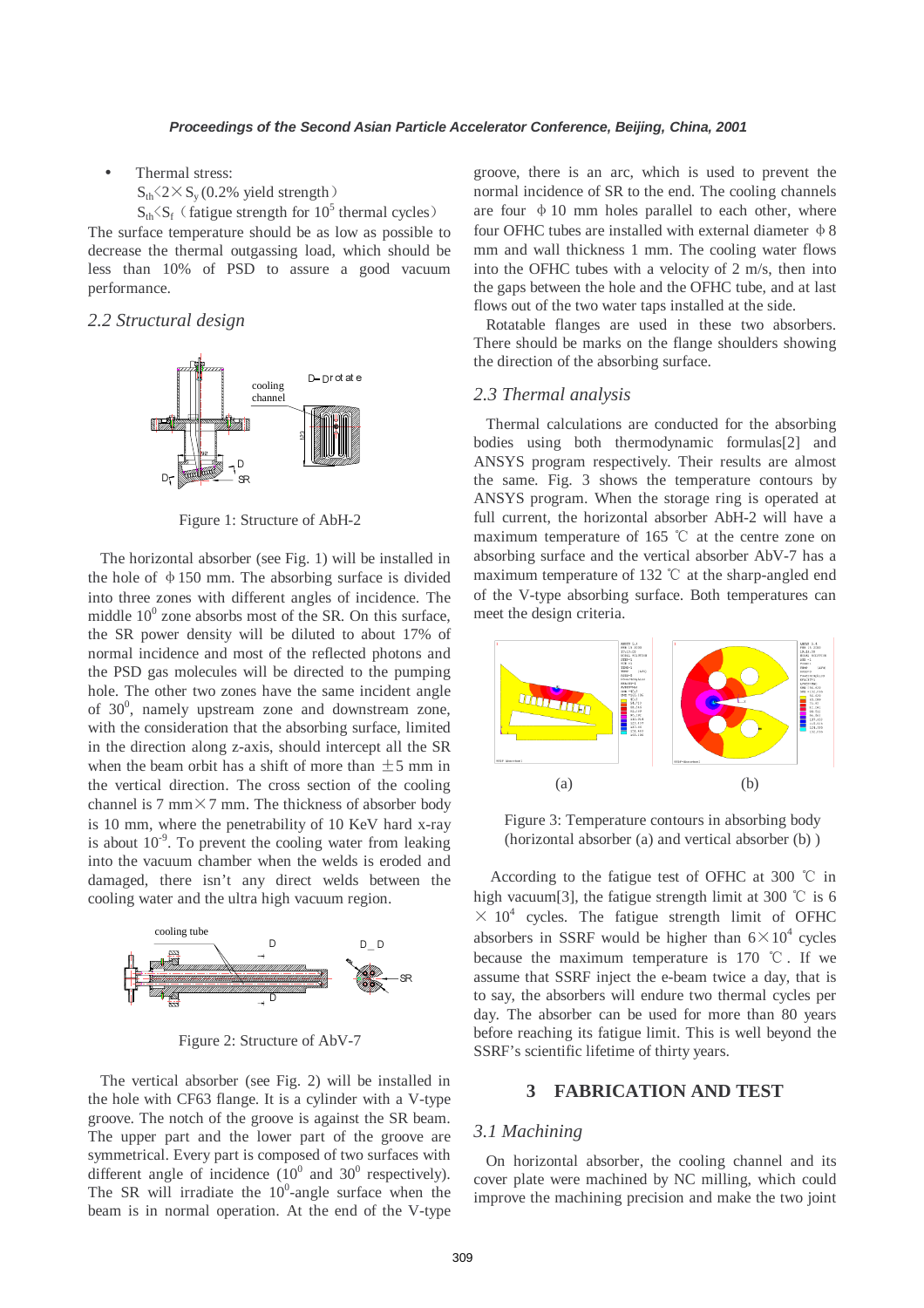- Thermal stress:
	- $S_{th}$   $\langle 2 \times S_{v} (0.2\% \text{ yield strength}) \rangle$

 $S_{th} \langle S_f \rangle$  (fatigue strength for 10<sup>5</sup> thermal cycles) The surface temperature should be as low as possible to decrease the thermal outgassing load, which should be less than 10% of PSD to assure a good vacuum performance.

### *2.2 Structural design*



Figure 1: Structure of AbH-2

 The horizontal absorber (see Fig. 1) will be installed in the hole of  $\phi$  150 mm. The absorbing surface is divided into three zones with different angles of incidence. The middle  $10^0$  zone absorbs most of the SR. On this surface, the SR power density will be diluted to about 17% of normal incidence and most of the reflected photons and the PSD gas molecules will be directed to the pumping hole. The other two zones have the same incident angle of  $30^0$ , namely upstream zone and downstream zone, with the consideration that the absorbing surface, limited in the direction along z-axis, should intercept all the SR when the beam orbit has a shift of more than  $\pm$ 5 mm in the vertical direction. The cross section of the cooling channel is 7 mm $\times$ 7 mm. The thickness of absorber body is 10 mm, where the penetrability of 10 KeV hard x-ray is about  $10^{-9}$ . To prevent the cooling water from leaking into the vacuum chamber when the welds is eroded and damaged, there isn't any direct welds between the cooling water and the ultra high vacuum region.



Figure 2: Structure of AbV-7

 The vertical absorber (see Fig. 2) will be installed in the hole with CF63 flange. It is a cylinder with a V-type groove. The notch of the groove is against the SR beam. The upper part and the lower part of the groove are symmetrical. Every part is composed of two surfaces with different angle of incidence  $(10^0$  and  $30^0$  respectively). The SR will irradiate the  $10^0$ -angle surface when the beam is in normal operation. At the end of the V-type

groove, there is an arc, which is used to prevent the normal incidence of SR to the end. The cooling channels are four  $\phi$  10 mm holes parallel to each other, where four OFHC tubes are installed with external diameter  $\Phi$  8 mm and wall thickness 1 mm. The cooling water flows into the OFHC tubes with a velocity of 2 m/s, then into the gaps between the hole and the OFHC tube, and at last flows out of the two water taps installed at the side.

 Rotatable flanges are used in these two absorbers. There should be marks on the flange shoulders showing the direction of the absorbing surface.

### *2.3 Thermal analysis*

 Thermal calculations are conducted for the absorbing bodies using both thermodynamic formulas[2] and ANSYS program respectively. Their results are almost the same. Fig. 3 shows the temperature contours by ANSYS program. When the storage ring is operated at full current, the horizontal absorber AbH-2 will have a maximum temperature of 165 ℃ at the centre zone on absorbing surface and the vertical absorber AbV-7 has a maximum temperature of 132 ℃ at the sharp-angled end of the V-type absorbing surface. Both temperatures can meet the design criteria.



Figure 3: Temperature contours in absorbing body (horizontal absorber (a) and vertical absorber (b) )

According to the fatigue test of OFHC at 300 ℃ in high vacuum[3], the fatigue strength limit at 300 °C is 6  $\times$  10<sup>4</sup> cycles. The fatigue strength limit of OFHC absorbers in SSRF would be higher than  $6 \times 10^4$  cycles because the maximum temperature is 170 ℃ . If we assume that SSRF inject the e-beam twice a day, that is to say, the absorbers will endure two thermal cycles per day. The absorber can be used for more than 80 years before reaching its fatigue limit. This is well beyond the SSRF's scientific lifetime of thirty years.

#### **3 FABRICATION AND TEST**

#### *3.1 Machining*

 On horizontal absorber, the cooling channel and its cover plate were machined by NC milling, which could improve the machining precision and make the two joint